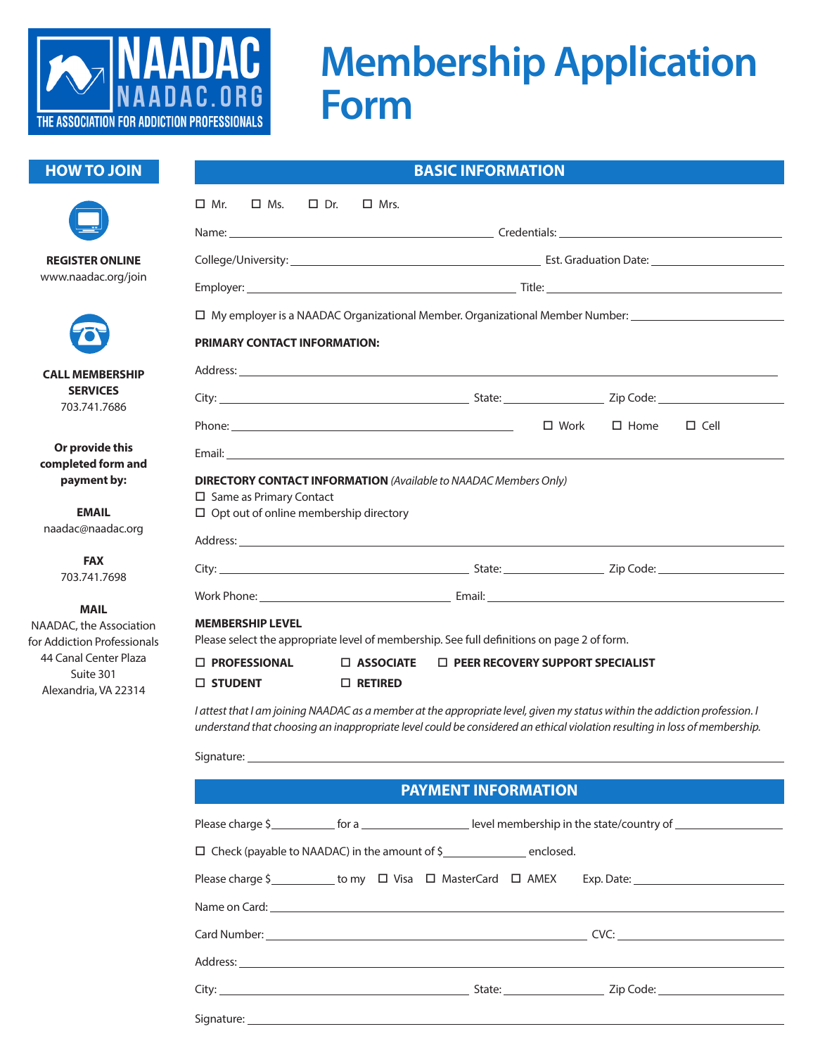

## **Membership Application Form**

## **HOW TO JOIN**



**REGISTER ONLINE** www.naadac.org/join



**CALL MEMBERSHIP SERVICES** 703.741.7686

**Or provide this completed form and payment by:**

**EMAIL** naadac@naadac.org

> **FAX** 703.741.7698

> > **MAIL**

NAADAC, the Association for Addiction Professionals 44 Canal Center Plaza Suite 301 Alexandria, VA 22314

Signature:

| <b>BASIC INFORMATION</b>                                                                                                                                                                                                                                |                                                          |  |  |  |  |  |  |
|---------------------------------------------------------------------------------------------------------------------------------------------------------------------------------------------------------------------------------------------------------|----------------------------------------------------------|--|--|--|--|--|--|
| $\Box$ Mr.<br>$\square$ Ms.<br>$\Box$ Dr.<br>$\Box$ Mrs.                                                                                                                                                                                                |                                                          |  |  |  |  |  |  |
|                                                                                                                                                                                                                                                         |                                                          |  |  |  |  |  |  |
|                                                                                                                                                                                                                                                         |                                                          |  |  |  |  |  |  |
|                                                                                                                                                                                                                                                         |                                                          |  |  |  |  |  |  |
| □ My employer is a NAADAC Organizational Member. Organizational Member Number: _______________________________                                                                                                                                          |                                                          |  |  |  |  |  |  |
| <b>PRIMARY CONTACT INFORMATION:</b>                                                                                                                                                                                                                     |                                                          |  |  |  |  |  |  |
|                                                                                                                                                                                                                                                         |                                                          |  |  |  |  |  |  |
|                                                                                                                                                                                                                                                         |                                                          |  |  |  |  |  |  |
| Phone: <u>with the contract of the contract of the contract of the contract of the contract of the contract of the contract of the contract of the contract of the contract of the contract of the contract of the contract of t</u>                    | $\Box$ Work $\Box$ Home<br>$\Box$ Cell                   |  |  |  |  |  |  |
| Email: Email: All and the state of the state of the state of the state of the state of the state of the state of the state of the state of the state of the state of the state of the state of the state of the state of the s                          |                                                          |  |  |  |  |  |  |
| <b>DIRECTORY CONTACT INFORMATION</b> (Available to NAADAC Members Only)<br>□ Same as Primary Contact<br>$\Box$ Opt out of online membership directory                                                                                                   |                                                          |  |  |  |  |  |  |
|                                                                                                                                                                                                                                                         |                                                          |  |  |  |  |  |  |
|                                                                                                                                                                                                                                                         |                                                          |  |  |  |  |  |  |
|                                                                                                                                                                                                                                                         |                                                          |  |  |  |  |  |  |
| <b>MEMBERSHIP LEVEL</b><br>Please select the appropriate level of membership. See full definitions on page 2 of form.                                                                                                                                   |                                                          |  |  |  |  |  |  |
| <b>D</b> PROFESSIONAL                                                                                                                                                                                                                                   | $\Box$ ASSOCIATE $\Box$ PEER RECOVERY SUPPORT SPECIALIST |  |  |  |  |  |  |
| $\square$ STUDENT<br>$\Box$ RETIRED                                                                                                                                                                                                                     |                                                          |  |  |  |  |  |  |
| I attest that I am joining NAADAC as a member at the appropriate level, given my status within the addiction profession. I<br>understand that choosing an inappropriate level could be considered an ethical violation resulting in loss of membership. |                                                          |  |  |  |  |  |  |
| Signature:                                                                                                                                                                                                                                              |                                                          |  |  |  |  |  |  |
|                                                                                                                                                                                                                                                         | <b>PAYMENT INFORMATION</b>                               |  |  |  |  |  |  |
|                                                                                                                                                                                                                                                         |                                                          |  |  |  |  |  |  |
| $\Box$ Check (payable to NAADAC) in the amount of $\frac{1}{2}$ enclosed.                                                                                                                                                                               |                                                          |  |  |  |  |  |  |
|                                                                                                                                                                                                                                                         |                                                          |  |  |  |  |  |  |
|                                                                                                                                                                                                                                                         |                                                          |  |  |  |  |  |  |
|                                                                                                                                                                                                                                                         |                                                          |  |  |  |  |  |  |
|                                                                                                                                                                                                                                                         |                                                          |  |  |  |  |  |  |

City: State: Zip Code: